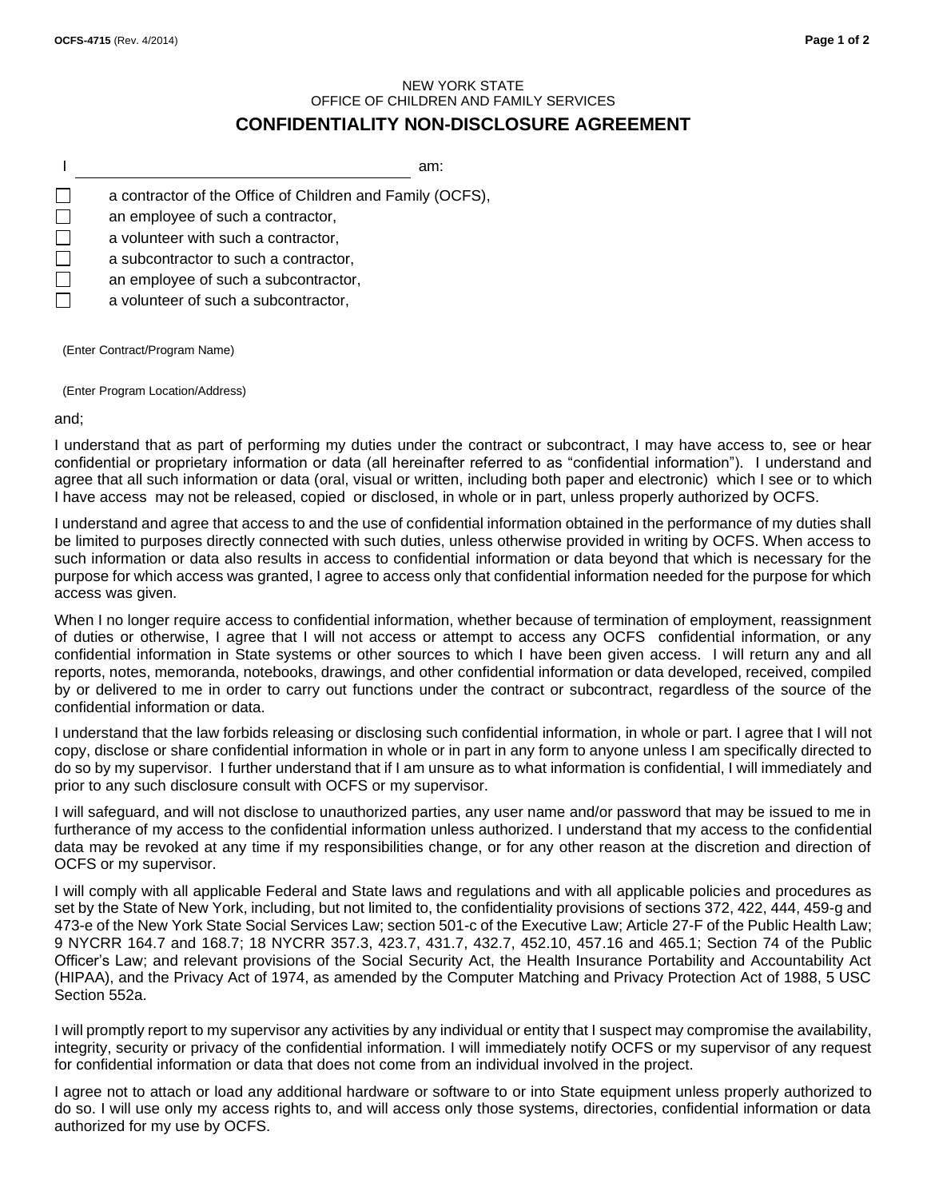## NEW YORK STATE OFFICE OF CHILDREN AND FAMILY SERVICES **CONFIDENTIALITY NON-DISCLOSURE AGREEMENT**

I am:  $\Box$ a contractor of the Office of Children and Family (OCFS),  $\Box$ an employee of such a contractor, П a volunteer with such a contractor, П a subcontractor to such a contractor, П an employee of such a subcontractor, a volunteer of such a subcontractor,

(Enter Contract/Program Name)

(Enter Program Location/Address)

and;

I understand that as part of performing my duties under the contract or subcontract, I may have access to, see or hear confidential or proprietary information or data (all hereinafter referred to as "confidential information"). I understand and agree that all such information or data (oral, visual or written, including both paper and electronic) which I see or to which I have access may not be released, copied or disclosed, in whole or in part, unless properly authorized by OCFS.

I understand and agree that access to and the use of confidential information obtained in the performance of my duties shall be limited to purposes directly connected with such duties, unless otherwise provided in writing by OCFS. When access to such information or data also results in access to confidential information or data beyond that which is necessary for the purpose for which access was granted, I agree to access only that confidential information needed for the purpose for which access was given.

When I no longer require access to confidential information, whether because of termination of employment, reassignment of duties or otherwise, I agree that I will not access or attempt to access any OCFS confidential information, or any confidential information in State systems or other sources to which I have been given access. I will return any and all reports, notes, memoranda, notebooks, drawings, and other confidential information or data developed, received, compiled by or delivered to me in order to carry out functions under the contract or subcontract, regardless of the source of the confidential information or data.

I understand that the law forbids releasing or disclosing such confidential information, in whole or part. I agree that I will not copy, disclose or share confidential information in whole or in part in any form to anyone unless I am specifically directed to do so by my supervisor. I further understand that if I am unsure as to what information is confidential, I will immediately and prior to any such disclosure consult with OCFS or my supervisor.

I will safeguard, and will not disclose to unauthorized parties, any user name and/or password that may be issued to me in furtherance of my access to the confidential information unless authorized. I understand that my access to the confidential data may be revoked at any time if my responsibilities change, or for any other reason at the discretion and direction of OCFS or my supervisor.

I will comply with all applicable Federal and State laws and regulations and with all applicable policies and procedures as set by the State of New York, including, but not limited to, the confidentiality provisions of sections 372, 422, 444, 459-g and 473-e of the New York State Social Services Law; section 501-c of the Executive Law; Article 27-F of the Public Health Law; 9 NYCRR 164.7 and 168.7; 18 NYCRR 357.3, 423.7, 431.7, 432.7, 452.10, 457.16 and 465.1; Section 74 of the Public Officer's Law; and relevant provisions of the Social Security Act, the Health Insurance Portability and Accountability Act (HIPAA), and the Privacy Act of 1974, as amended by the Computer Matching and Privacy Protection Act of 1988, 5 USC Section 552a.

I will promptly report to my supervisor any activities by any individual or entity that I suspect may compromise the availability, integrity, security or privacy of the confidential information. I will immediately notify OCFS or my supervisor of any request for confidential information or data that does not come from an individual involved in the project.

I agree not to attach or load any additional hardware or software to or into State equipment unless properly authorized to do so. I will use only my access rights to, and will access only those systems, directories, confidential information or data authorized for my use by OCFS.